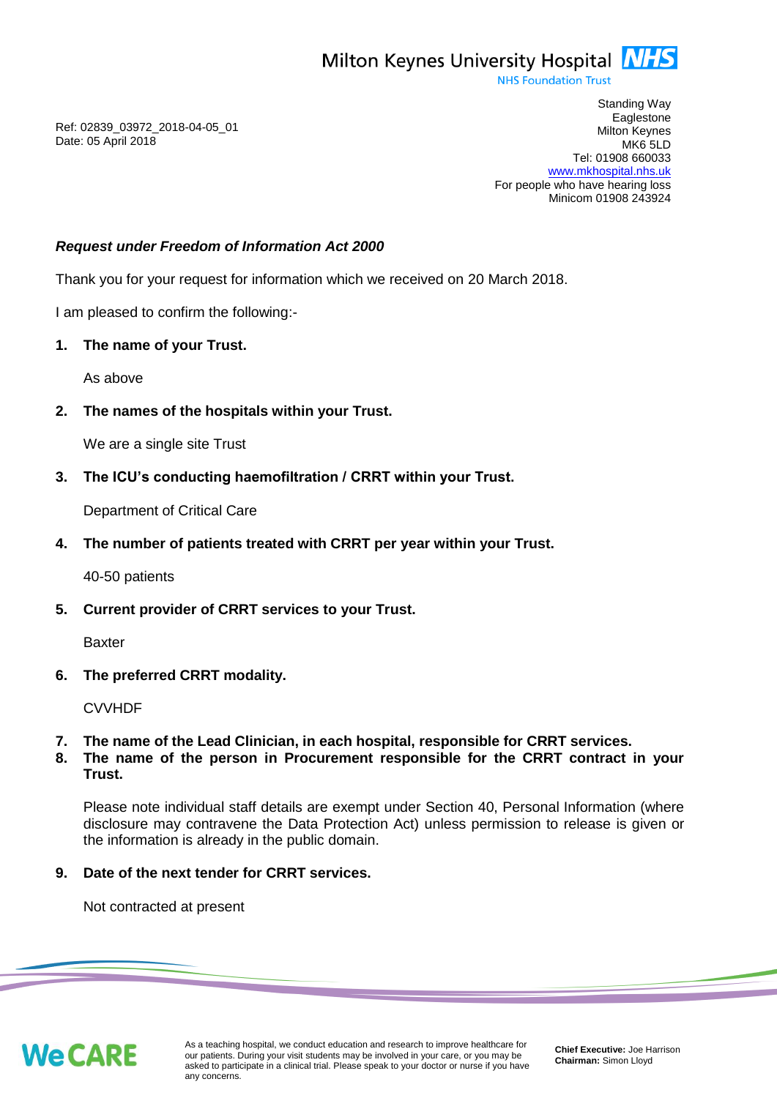**NHS Foundation Trust** 

Ref: 02839\_03972\_2018-04-05\_01 Date: 05 April 2018

Standing Way **Eaglestone** Milton Keynes MK6 5LD Tel: 01908 660033 [www.mkhospital.nhs.uk](http://www.mkhospital.nhs.uk/) For people who have hearing loss Minicom 01908 243924

# *Request under Freedom of Information Act 2000*

Thank you for your request for information which we received on 20 March 2018.

I am pleased to confirm the following:-

## **1. The name of your Trust.**

As above

**2. The names of the hospitals within your Trust.**

We are a single site Trust

**3. The ICU's conducting haemofiltration / CRRT within your Trust.**

Department of Critical Care

**4. The number of patients treated with CRRT per year within your Trust.**

40-50 patients

**5. Current provider of CRRT services to your Trust.**

Baxter

**6. The preferred CRRT modality.**

CVVHDF

- **7. The name of the Lead Clinician, in each hospital, responsible for CRRT services.**
- **8. The name of the person in Procurement responsible for the CRRT contract in your Trust.**

Please note individual staff details are exempt under Section 40, Personal Information (where disclosure may contravene the Data Protection Act) unless permission to release is given or the information is already in the public domain.

**9. Date of the next tender for CRRT services.**

Not contracted at present

**We CARE**